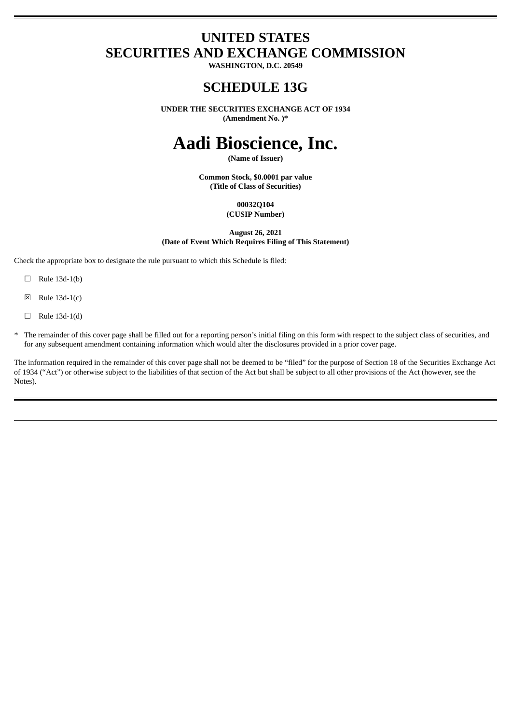# **UNITED STATES SECURITIES AND EXCHANGE COMMISSION**

**WASHINGTON, D.C. 20549**

## **SCHEDULE 13G**

**UNDER THE SECURITIES EXCHANGE ACT OF 1934 (Amendment No. )\***

# **Aadi Bioscience, Inc.**

**(Name of Issuer)**

**Common Stock, \$0.0001 par value (Title of Class of Securities)**

> **00032Q104 (CUSIP Number)**

**August 26, 2021 (Date of Event Which Requires Filing of This Statement)**

Check the appropriate box to designate the rule pursuant to which this Schedule is filed:

- $\Box$  Rule 13d-1(b)
- $\boxtimes$  Rule 13d-1(c)
- $\Box$  Rule 13d-1(d)
- \* The remainder of this cover page shall be filled out for a reporting person's initial filing on this form with respect to the subject class of securities, and for any subsequent amendment containing information which would alter the disclosures provided in a prior cover page.

The information required in the remainder of this cover page shall not be deemed to be "filed" for the purpose of Section 18 of the Securities Exchange Act of 1934 ("Act") or otherwise subject to the liabilities of that section of the Act but shall be subject to all other provisions of the Act (however, see the Notes).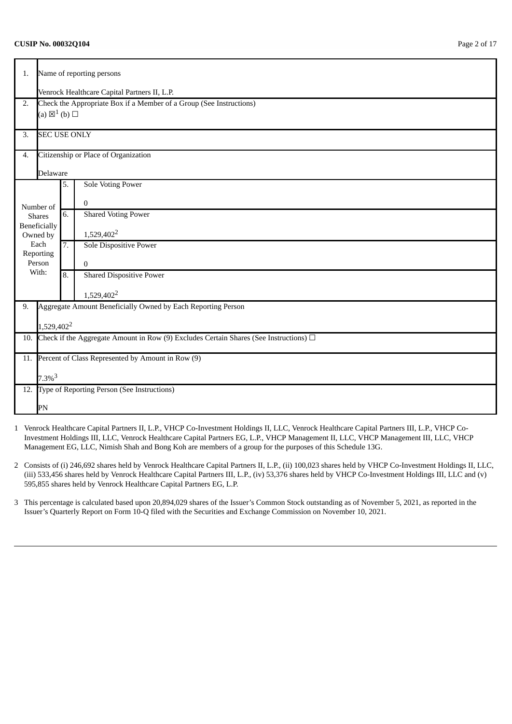### **CUSIP No. 00032Q104** Page 2 of 17

| 1.  |                                                                                            | Name of reporting persons                                    |                                                                     |  |  |  |  |
|-----|--------------------------------------------------------------------------------------------|--------------------------------------------------------------|---------------------------------------------------------------------|--|--|--|--|
|     | Venrock Healthcare Capital Partners II, L.P.                                               |                                                              |                                                                     |  |  |  |  |
| 2.  |                                                                                            |                                                              | Check the Appropriate Box if a Member of a Group (See Instructions) |  |  |  |  |
|     | (a) $\boxtimes^1$ (b) $\square$                                                            |                                                              |                                                                     |  |  |  |  |
|     |                                                                                            |                                                              |                                                                     |  |  |  |  |
| 3.  | <b>SEC USE ONLY</b>                                                                        |                                                              |                                                                     |  |  |  |  |
| 4.  |                                                                                            |                                                              | Citizenship or Place of Organization                                |  |  |  |  |
|     | Delaware                                                                                   |                                                              |                                                                     |  |  |  |  |
|     |                                                                                            | 5.                                                           | <b>Sole Voting Power</b>                                            |  |  |  |  |
|     | Number of                                                                                  |                                                              | $\mathbf{0}$                                                        |  |  |  |  |
|     | <b>Shares</b>                                                                              | 6.                                                           | <b>Shared Voting Power</b>                                          |  |  |  |  |
|     | Beneficially                                                                               |                                                              | 1,529,402 <sup>2</sup>                                              |  |  |  |  |
|     | Owned by<br>Each                                                                           | 7.                                                           | Sole Dispositive Power                                              |  |  |  |  |
|     | Reporting                                                                                  |                                                              |                                                                     |  |  |  |  |
|     | Person                                                                                     |                                                              | $\bf{0}$                                                            |  |  |  |  |
|     | With:                                                                                      | 8.                                                           | <b>Shared Dispositive Power</b>                                     |  |  |  |  |
|     |                                                                                            |                                                              | 1,529,402 <sup>2</sup>                                              |  |  |  |  |
| 9.  |                                                                                            | Aggregate Amount Beneficially Owned by Each Reporting Person |                                                                     |  |  |  |  |
|     |                                                                                            |                                                              |                                                                     |  |  |  |  |
|     | 1,529,402 <sup>2</sup>                                                                     |                                                              |                                                                     |  |  |  |  |
| 10. | Check if the Aggregate Amount in Row (9) Excludes Certain Shares (See Instructions) $\Box$ |                                                              |                                                                     |  |  |  |  |
| 11. | Percent of Class Represented by Amount in Row (9)                                          |                                                              |                                                                     |  |  |  |  |
|     | $7.3\%$ <sup>3</sup>                                                                       |                                                              |                                                                     |  |  |  |  |
| 12. |                                                                                            |                                                              | Type of Reporting Person (See Instructions)                         |  |  |  |  |
|     | PN                                                                                         |                                                              |                                                                     |  |  |  |  |

- 1 Venrock Healthcare Capital Partners II, L.P., VHCP Co-Investment Holdings II, LLC, Venrock Healthcare Capital Partners III, L.P., VHCP Co-Investment Holdings III, LLC, Venrock Healthcare Capital Partners EG, L.P., VHCP Management II, LLC, VHCP Management III, LLC, VHCP Management EG, LLC, Nimish Shah and Bong Koh are members of a group for the purposes of this Schedule 13G.
- 2 Consists of (i) 246,692 shares held by Venrock Healthcare Capital Partners II, L.P., (ii) 100,023 shares held by VHCP Co-Investment Holdings II, LLC, (iii) 533,456 shares held by Venrock Healthcare Capital Partners III, L.P., (iv) 53,376 shares held by VHCP Co-Investment Holdings III, LLC and (v) 595,855 shares held by Venrock Healthcare Capital Partners EG, L.P.
- 3 This percentage is calculated based upon 20,894,029 shares of the Issuer's Common Stock outstanding as of November 5, 2021, as reported in the Issuer's Quarterly Report on Form 10-Q filed with the Securities and Exchange Commission on November 10, 2021.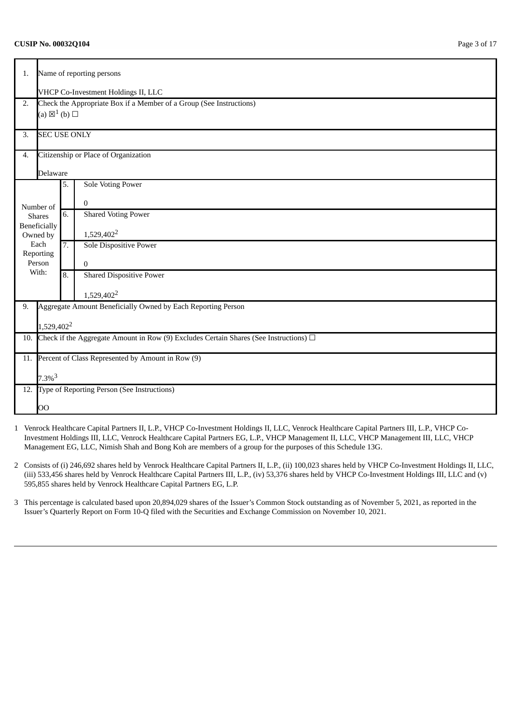### **CUSIP No. 00032Q104** Page 3 of 17

| 1.  |                                                                                            | Name of reporting persons |                                                                     |  |  |  |
|-----|--------------------------------------------------------------------------------------------|---------------------------|---------------------------------------------------------------------|--|--|--|
|     | VHCP Co-Investment Holdings II, LLC                                                        |                           |                                                                     |  |  |  |
| 2.  |                                                                                            |                           | Check the Appropriate Box if a Member of a Group (See Instructions) |  |  |  |
|     | (a) $\boxtimes^1$ (b) $\square$                                                            |                           |                                                                     |  |  |  |
|     |                                                                                            |                           |                                                                     |  |  |  |
| 3.  | <b>SEC USE ONLY</b>                                                                        |                           |                                                                     |  |  |  |
| 4.  |                                                                                            |                           | Citizenship or Place of Organization                                |  |  |  |
|     | Delaware                                                                                   |                           |                                                                     |  |  |  |
|     |                                                                                            | 5.                        | <b>Sole Voting Power</b>                                            |  |  |  |
|     | Number of                                                                                  |                           | $\mathbf{0}$                                                        |  |  |  |
|     | <b>Shares</b>                                                                              | 6.                        | <b>Shared Voting Power</b>                                          |  |  |  |
|     | <b>Beneficially</b>                                                                        |                           | 1,529,402 <sup>2</sup>                                              |  |  |  |
|     | Owned by<br>Each                                                                           | 7.                        | Sole Dispositive Power                                              |  |  |  |
|     | Reporting                                                                                  |                           |                                                                     |  |  |  |
|     | Person                                                                                     |                           | $\bf{0}$                                                            |  |  |  |
|     | With:                                                                                      | 8.                        | <b>Shared Dispositive Power</b>                                     |  |  |  |
|     |                                                                                            |                           | 1,529,402 <sup>2</sup>                                              |  |  |  |
| 9.  |                                                                                            |                           | Aggregate Amount Beneficially Owned by Each Reporting Person        |  |  |  |
|     |                                                                                            |                           |                                                                     |  |  |  |
|     | 1,529,402 <sup>2</sup>                                                                     |                           |                                                                     |  |  |  |
| 10. | Check if the Aggregate Amount in Row (9) Excludes Certain Shares (See Instructions) $\Box$ |                           |                                                                     |  |  |  |
| 11. | Percent of Class Represented by Amount in Row (9)                                          |                           |                                                                     |  |  |  |
|     | $7.3\%$ <sup>3</sup>                                                                       |                           |                                                                     |  |  |  |
|     |                                                                                            |                           | 12. Type of Reporting Person (See Instructions)                     |  |  |  |
|     | OO                                                                                         |                           |                                                                     |  |  |  |

- 1 Venrock Healthcare Capital Partners II, L.P., VHCP Co-Investment Holdings II, LLC, Venrock Healthcare Capital Partners III, L.P., VHCP Co-Investment Holdings III, LLC, Venrock Healthcare Capital Partners EG, L.P., VHCP Management II, LLC, VHCP Management III, LLC, VHCP Management EG, LLC, Nimish Shah and Bong Koh are members of a group for the purposes of this Schedule 13G.
- 2 Consists of (i) 246,692 shares held by Venrock Healthcare Capital Partners II, L.P., (ii) 100,023 shares held by VHCP Co-Investment Holdings II, LLC, (iii) 533,456 shares held by Venrock Healthcare Capital Partners III, L.P., (iv) 53,376 shares held by VHCP Co-Investment Holdings III, LLC and (v) 595,855 shares held by Venrock Healthcare Capital Partners EG, L.P.
- 3 This percentage is calculated based upon 20,894,029 shares of the Issuer's Common Stock outstanding as of November 5, 2021, as reported in the Issuer's Quarterly Report on Form 10-Q filed with the Securities and Exchange Commission on November 10, 2021.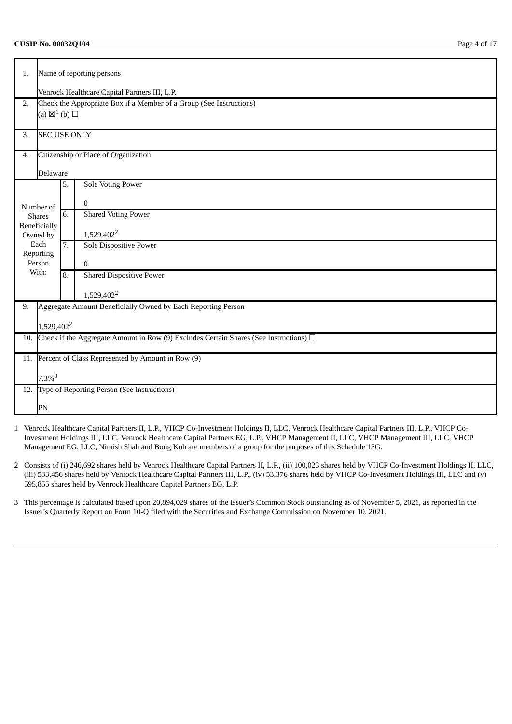### **CUSIP No. 00032Q104** Page 4 of 17

| 1.  |                                                                                                                      |                  | Name of reporting persons                                           |  |  |  |
|-----|----------------------------------------------------------------------------------------------------------------------|------------------|---------------------------------------------------------------------|--|--|--|
|     | Venrock Healthcare Capital Partners III, L.P.                                                                        |                  |                                                                     |  |  |  |
| 2.  |                                                                                                                      |                  | Check the Appropriate Box if a Member of a Group (See Instructions) |  |  |  |
|     | (a) $\boxtimes^1$ (b) $\square$                                                                                      |                  |                                                                     |  |  |  |
| 3.  | <b>SEC USE ONLY</b>                                                                                                  |                  |                                                                     |  |  |  |
| 4.  |                                                                                                                      |                  | Citizenship or Place of Organization                                |  |  |  |
|     | Delaware                                                                                                             |                  |                                                                     |  |  |  |
|     |                                                                                                                      | 5.               | <b>Sole Voting Power</b>                                            |  |  |  |
|     | Number of                                                                                                            |                  | $\boldsymbol{0}$                                                    |  |  |  |
|     | <b>Shares</b>                                                                                                        | 6.               | <b>Shared Voting Power</b>                                          |  |  |  |
|     | <b>Beneficially</b><br>Owned by                                                                                      |                  | 1,529,402 <sup>2</sup>                                              |  |  |  |
|     | Each                                                                                                                 | $\overline{7}$ . | Sole Dispositive Power                                              |  |  |  |
|     | Reporting<br>Person                                                                                                  |                  | $\mathbf{0}$                                                        |  |  |  |
|     | With:                                                                                                                | 8.               | <b>Shared Dispositive Power</b>                                     |  |  |  |
|     |                                                                                                                      |                  | 1,529,402 <sup>2</sup>                                              |  |  |  |
| 9.  |                                                                                                                      |                  | Aggregate Amount Beneficially Owned by Each Reporting Person        |  |  |  |
|     |                                                                                                                      |                  |                                                                     |  |  |  |
| 10. | 1,529,402 <sup>2</sup><br>Check if the Aggregate Amount in Row (9) Excludes Certain Shares (See Instructions) $\Box$ |                  |                                                                     |  |  |  |
|     |                                                                                                                      |                  |                                                                     |  |  |  |
| 11. |                                                                                                                      |                  | Percent of Class Represented by Amount in Row (9)                   |  |  |  |
|     | $7.3\%$ <sup>3</sup>                                                                                                 |                  |                                                                     |  |  |  |
|     |                                                                                                                      |                  | 12. Type of Reporting Person (See Instructions)                     |  |  |  |
|     | PN                                                                                                                   |                  |                                                                     |  |  |  |

- 1 Venrock Healthcare Capital Partners II, L.P., VHCP Co-Investment Holdings II, LLC, Venrock Healthcare Capital Partners III, L.P., VHCP Co-Investment Holdings III, LLC, Venrock Healthcare Capital Partners EG, L.P., VHCP Management II, LLC, VHCP Management III, LLC, VHCP Management EG, LLC, Nimish Shah and Bong Koh are members of a group for the purposes of this Schedule 13G.
- 2 Consists of (i) 246,692 shares held by Venrock Healthcare Capital Partners II, L.P., (ii) 100,023 shares held by VHCP Co-Investment Holdings II, LLC, (iii) 533,456 shares held by Venrock Healthcare Capital Partners III, L.P., (iv) 53,376 shares held by VHCP Co-Investment Holdings III, LLC and (v) 595,855 shares held by Venrock Healthcare Capital Partners EG, L.P.
- 3 This percentage is calculated based upon 20,894,029 shares of the Issuer's Common Stock outstanding as of November 5, 2021, as reported in the Issuer's Quarterly Report on Form 10-Q filed with the Securities and Exchange Commission on November 10, 2021.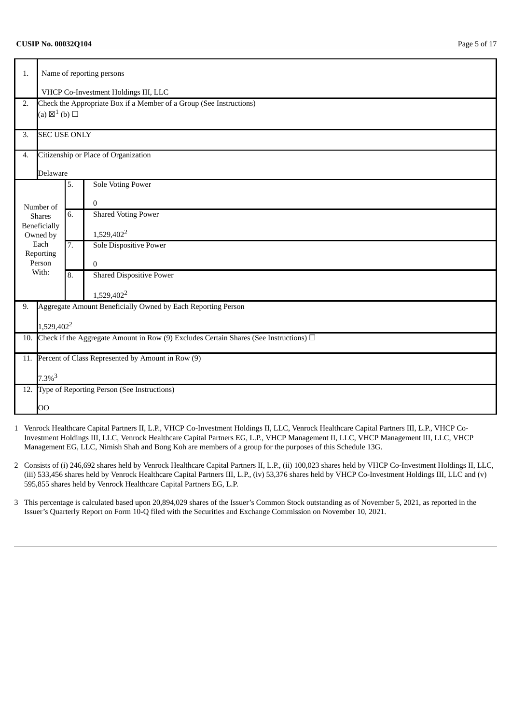### **CUSIP No. 00032Q104** Page 5 of 17

| 1.  |                                                                                            | Name of reporting persons                                           |                                                              |  |  |  |  |
|-----|--------------------------------------------------------------------------------------------|---------------------------------------------------------------------|--------------------------------------------------------------|--|--|--|--|
|     | VHCP Co-Investment Holdings III, LLC                                                       |                                                                     |                                                              |  |  |  |  |
| 2.  |                                                                                            | Check the Appropriate Box if a Member of a Group (See Instructions) |                                                              |  |  |  |  |
|     | (a) $\boxtimes^1$ (b) $\square$                                                            |                                                                     |                                                              |  |  |  |  |
| 3.  | <b>SEC USE ONLY</b>                                                                        |                                                                     |                                                              |  |  |  |  |
| 4.  |                                                                                            |                                                                     | Citizenship or Place of Organization                         |  |  |  |  |
|     | Delaware                                                                                   |                                                                     |                                                              |  |  |  |  |
|     |                                                                                            | 5.                                                                  | <b>Sole Voting Power</b>                                     |  |  |  |  |
|     | Number of                                                                                  |                                                                     | 0                                                            |  |  |  |  |
|     | <b>Shares</b>                                                                              | $\overline{6}$ .                                                    | <b>Shared Voting Power</b>                                   |  |  |  |  |
|     | Beneficially<br>Owned by                                                                   |                                                                     | 1,529,402 <sup>2</sup>                                       |  |  |  |  |
|     | Each                                                                                       | 7.                                                                  | <b>Sole Dispositive Power</b>                                |  |  |  |  |
|     | Reporting                                                                                  |                                                                     |                                                              |  |  |  |  |
|     | Person<br>With:                                                                            |                                                                     | $\overline{0}$                                               |  |  |  |  |
|     |                                                                                            | 8.                                                                  | <b>Shared Dispositive Power</b>                              |  |  |  |  |
|     |                                                                                            |                                                                     | 1,529,402 <sup>2</sup>                                       |  |  |  |  |
| 9.  |                                                                                            |                                                                     | Aggregate Amount Beneficially Owned by Each Reporting Person |  |  |  |  |
|     | 1,529,402 <sup>2</sup>                                                                     |                                                                     |                                                              |  |  |  |  |
| 10. | Check if the Aggregate Amount in Row (9) Excludes Certain Shares (See Instructions) $\Box$ |                                                                     |                                                              |  |  |  |  |
|     |                                                                                            |                                                                     |                                                              |  |  |  |  |
| 11. |                                                                                            |                                                                     | Percent of Class Represented by Amount in Row (9)            |  |  |  |  |
|     | $7.3\%$ <sup>3</sup>                                                                       |                                                                     |                                                              |  |  |  |  |
| 12. |                                                                                            |                                                                     | Type of Reporting Person (See Instructions)                  |  |  |  |  |
|     | OO                                                                                         |                                                                     |                                                              |  |  |  |  |

- 1 Venrock Healthcare Capital Partners II, L.P., VHCP Co-Investment Holdings II, LLC, Venrock Healthcare Capital Partners III, L.P., VHCP Co-Investment Holdings III, LLC, Venrock Healthcare Capital Partners EG, L.P., VHCP Management II, LLC, VHCP Management III, LLC, VHCP Management EG, LLC, Nimish Shah and Bong Koh are members of a group for the purposes of this Schedule 13G.
- 2 Consists of (i) 246,692 shares held by Venrock Healthcare Capital Partners II, L.P., (ii) 100,023 shares held by VHCP Co-Investment Holdings II, LLC, (iii) 533,456 shares held by Venrock Healthcare Capital Partners III, L.P., (iv) 53,376 shares held by VHCP Co-Investment Holdings III, LLC and (v) 595,855 shares held by Venrock Healthcare Capital Partners EG, L.P.
- 3 This percentage is calculated based upon 20,894,029 shares of the Issuer's Common Stock outstanding as of November 5, 2021, as reported in the Issuer's Quarterly Report on Form 10-Q filed with the Securities and Exchange Commission on November 10, 2021.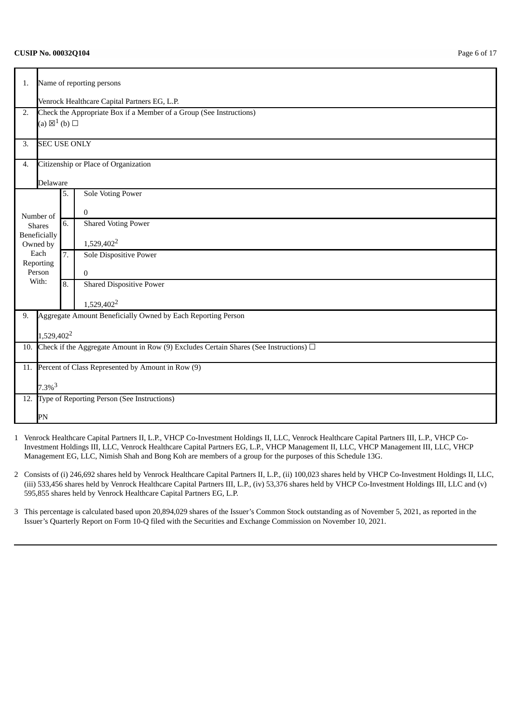### **CUSIP No. 00032Q104** Page 6 of 17

| 1.                                                    |                          | Name of reporting persons                                                                  |                                                              |  |  |  |  |  |
|-------------------------------------------------------|--------------------------|--------------------------------------------------------------------------------------------|--------------------------------------------------------------|--|--|--|--|--|
|                                                       |                          | Venrock Healthcare Capital Partners EG, L.P.                                               |                                                              |  |  |  |  |  |
| 2.                                                    |                          | Check the Appropriate Box if a Member of a Group (See Instructions)                        |                                                              |  |  |  |  |  |
|                                                       |                          | (a) $\boxtimes^1$ (b) $\square$                                                            |                                                              |  |  |  |  |  |
| 3.                                                    | <b>SEC USE ONLY</b>      |                                                                                            |                                                              |  |  |  |  |  |
| 4.                                                    |                          |                                                                                            | Citizenship or Place of Organization                         |  |  |  |  |  |
|                                                       | <b>Delaware</b>          |                                                                                            |                                                              |  |  |  |  |  |
|                                                       |                          | 5.                                                                                         | <b>Sole Voting Power</b>                                     |  |  |  |  |  |
|                                                       | Number of                |                                                                                            | $\mathbf{0}$                                                 |  |  |  |  |  |
|                                                       | <b>Shares</b>            | 6.                                                                                         | <b>Shared Voting Power</b>                                   |  |  |  |  |  |
|                                                       | Beneficially<br>Owned by |                                                                                            | 1,529,402 <sup>2</sup>                                       |  |  |  |  |  |
|                                                       | Each                     | 7.                                                                                         | <b>Sole Dispositive Power</b>                                |  |  |  |  |  |
|                                                       | Reporting<br>Person      |                                                                                            |                                                              |  |  |  |  |  |
|                                                       | With:                    | 8.                                                                                         | $\mathbf{0}$<br><b>Shared Dispositive Power</b>              |  |  |  |  |  |
|                                                       |                          |                                                                                            |                                                              |  |  |  |  |  |
|                                                       |                          |                                                                                            | 1,529,402 <sup>2</sup>                                       |  |  |  |  |  |
| 9.                                                    |                          |                                                                                            | Aggregate Amount Beneficially Owned by Each Reporting Person |  |  |  |  |  |
|                                                       | 1,529,402 <sup>2</sup>   |                                                                                            |                                                              |  |  |  |  |  |
| 10.                                                   |                          | Check if the Aggregate Amount in Row (9) Excludes Certain Shares (See Instructions) $\Box$ |                                                              |  |  |  |  |  |
|                                                       |                          |                                                                                            |                                                              |  |  |  |  |  |
| 11. Percent of Class Represented by Amount in Row (9) |                          |                                                                                            |                                                              |  |  |  |  |  |
| $7.3\%$ <sup>3</sup>                                  |                          |                                                                                            |                                                              |  |  |  |  |  |
|                                                       |                          |                                                                                            | 12. Type of Reporting Person (See Instructions)              |  |  |  |  |  |
|                                                       | PN                       |                                                                                            |                                                              |  |  |  |  |  |

- 1 Venrock Healthcare Capital Partners II, L.P., VHCP Co-Investment Holdings II, LLC, Venrock Healthcare Capital Partners III, L.P., VHCP Co-Investment Holdings III, LLC, Venrock Healthcare Capital Partners EG, L.P., VHCP Management II, LLC, VHCP Management III, LLC, VHCP Management EG, LLC, Nimish Shah and Bong Koh are members of a group for the purposes of this Schedule 13G.
- 2 Consists of (i) 246,692 shares held by Venrock Healthcare Capital Partners II, L.P., (ii) 100,023 shares held by VHCP Co-Investment Holdings II, LLC, (iii) 533,456 shares held by Venrock Healthcare Capital Partners III, L.P., (iv) 53,376 shares held by VHCP Co-Investment Holdings III, LLC and (v) 595,855 shares held by Venrock Healthcare Capital Partners EG, L.P.
- 3 This percentage is calculated based upon 20,894,029 shares of the Issuer's Common Stock outstanding as of November 5, 2021, as reported in the Issuer's Quarterly Report on Form 10-Q filed with the Securities and Exchange Commission on November 10, 2021.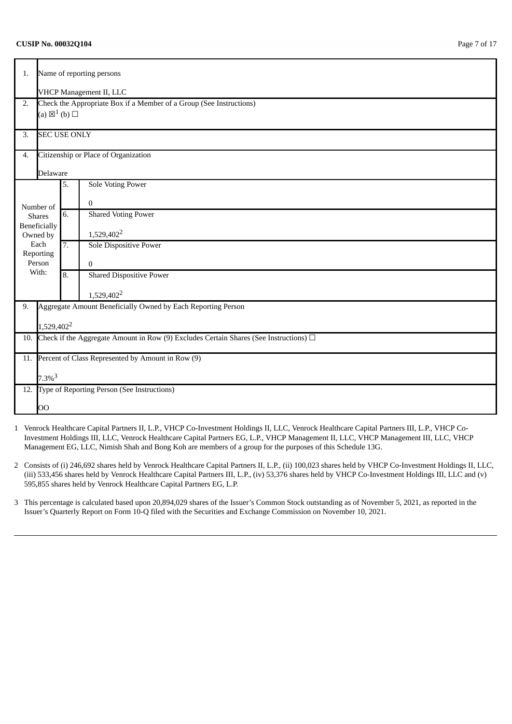### **CUSIP No. 00032Q104** Page 7 of 17

| 1.  |                                                                                            | Name of reporting persons |                                                                     |  |  |  |  |
|-----|--------------------------------------------------------------------------------------------|---------------------------|---------------------------------------------------------------------|--|--|--|--|
|     | VHCP Management II, LLC                                                                    |                           |                                                                     |  |  |  |  |
| 2.  |                                                                                            |                           | Check the Appropriate Box if a Member of a Group (See Instructions) |  |  |  |  |
|     | (a) $\boxtimes^1$ (b) $\square$                                                            |                           |                                                                     |  |  |  |  |
| 3.  | <b>SEC USE ONLY</b>                                                                        |                           |                                                                     |  |  |  |  |
| 4.  |                                                                                            |                           | Citizenship or Place of Organization                                |  |  |  |  |
|     | Delaware                                                                                   |                           |                                                                     |  |  |  |  |
|     |                                                                                            | 5.                        | <b>Sole Voting Power</b>                                            |  |  |  |  |
|     | Number of                                                                                  |                           | 0                                                                   |  |  |  |  |
|     | <b>Shares</b>                                                                              | 6.                        | <b>Shared Voting Power</b>                                          |  |  |  |  |
|     | Beneficially<br>Owned by                                                                   |                           | 1,529,402 <sup>2</sup>                                              |  |  |  |  |
|     | Each                                                                                       | 7.                        | <b>Sole Dispositive Power</b>                                       |  |  |  |  |
|     | Reporting                                                                                  |                           |                                                                     |  |  |  |  |
|     | Person<br>With:                                                                            |                           | $\overline{0}$                                                      |  |  |  |  |
|     |                                                                                            | 8.                        | <b>Shared Dispositive Power</b>                                     |  |  |  |  |
|     |                                                                                            |                           | 1,529,402 <sup>2</sup>                                              |  |  |  |  |
| 9.  |                                                                                            |                           | Aggregate Amount Beneficially Owned by Each Reporting Person        |  |  |  |  |
|     | 1,529,402 <sup>2</sup>                                                                     |                           |                                                                     |  |  |  |  |
| 10. | Check if the Aggregate Amount in Row (9) Excludes Certain Shares (See Instructions) $\Box$ |                           |                                                                     |  |  |  |  |
|     |                                                                                            |                           |                                                                     |  |  |  |  |
| 11. | Percent of Class Represented by Amount in Row (9)                                          |                           |                                                                     |  |  |  |  |
|     |                                                                                            |                           |                                                                     |  |  |  |  |
|     | $7.3\%$ <sup>3</sup>                                                                       |                           | Type of Reporting Person (See Instructions)                         |  |  |  |  |
| 12. |                                                                                            |                           |                                                                     |  |  |  |  |
|     | OO                                                                                         |                           |                                                                     |  |  |  |  |

- 1 Venrock Healthcare Capital Partners II, L.P., VHCP Co-Investment Holdings II, LLC, Venrock Healthcare Capital Partners III, L.P., VHCP Co-Investment Holdings III, LLC, Venrock Healthcare Capital Partners EG, L.P., VHCP Management II, LLC, VHCP Management III, LLC, VHCP Management EG, LLC, Nimish Shah and Bong Koh are members of a group for the purposes of this Schedule 13G.
- 2 Consists of (i) 246,692 shares held by Venrock Healthcare Capital Partners II, L.P., (ii) 100,023 shares held by VHCP Co-Investment Holdings II, LLC, (iii) 533,456 shares held by Venrock Healthcare Capital Partners III, L.P., (iv) 53,376 shares held by VHCP Co-Investment Holdings III, LLC and (v) 595,855 shares held by Venrock Healthcare Capital Partners EG, L.P.
- 3 This percentage is calculated based upon 20,894,029 shares of the Issuer's Common Stock outstanding as of November 5, 2021, as reported in the Issuer's Quarterly Report on Form 10-Q filed with the Securities and Exchange Commission on November 10, 2021.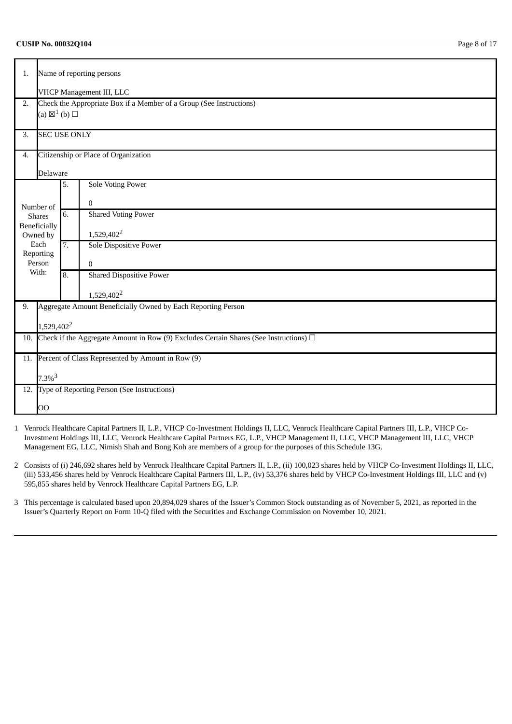### **CUSIP No. 00032Q104** Page 8 of 17

| 1.  |                                                                                            | Name of reporting persons |                                                                     |  |  |  |  |
|-----|--------------------------------------------------------------------------------------------|---------------------------|---------------------------------------------------------------------|--|--|--|--|
|     | VHCP Management III, LLC                                                                   |                           |                                                                     |  |  |  |  |
| 2.  |                                                                                            |                           | Check the Appropriate Box if a Member of a Group (See Instructions) |  |  |  |  |
|     | (a) $\boxtimes^1$ (b) $\square$                                                            |                           |                                                                     |  |  |  |  |
| 3.  | <b>SEC USE ONLY</b>                                                                        |                           |                                                                     |  |  |  |  |
| 4.  |                                                                                            |                           | Citizenship or Place of Organization                                |  |  |  |  |
|     | Delaware                                                                                   |                           |                                                                     |  |  |  |  |
|     |                                                                                            | 5.                        | <b>Sole Voting Power</b>                                            |  |  |  |  |
|     | Number of                                                                                  |                           | 0                                                                   |  |  |  |  |
|     | <b>Shares</b>                                                                              | $\overline{6}$ .          | <b>Shared Voting Power</b>                                          |  |  |  |  |
|     | Beneficially<br>Owned by                                                                   |                           | 1,529,402 <sup>2</sup>                                              |  |  |  |  |
|     | Each                                                                                       |                           | <b>Sole Dispositive Power</b>                                       |  |  |  |  |
|     | Reporting<br>Person                                                                        |                           | $\overline{0}$                                                      |  |  |  |  |
|     | With:                                                                                      | 8.                        | <b>Shared Dispositive Power</b>                                     |  |  |  |  |
|     |                                                                                            |                           | 1,529,402 <sup>2</sup>                                              |  |  |  |  |
| 9.  |                                                                                            |                           | Aggregate Amount Beneficially Owned by Each Reporting Person        |  |  |  |  |
|     | 1,529,402 <sup>2</sup>                                                                     |                           |                                                                     |  |  |  |  |
| 10. | Check if the Aggregate Amount in Row (9) Excludes Certain Shares (See Instructions) $\Box$ |                           |                                                                     |  |  |  |  |
|     |                                                                                            |                           |                                                                     |  |  |  |  |
| 11. | Percent of Class Represented by Amount in Row (9)                                          |                           |                                                                     |  |  |  |  |
|     | $7.3\%$ <sup>3</sup>                                                                       |                           |                                                                     |  |  |  |  |
|     |                                                                                            |                           | 12. Type of Reporting Person (See Instructions)                     |  |  |  |  |
|     | OO                                                                                         |                           |                                                                     |  |  |  |  |

- 1 Venrock Healthcare Capital Partners II, L.P., VHCP Co-Investment Holdings II, LLC, Venrock Healthcare Capital Partners III, L.P., VHCP Co-Investment Holdings III, LLC, Venrock Healthcare Capital Partners EG, L.P., VHCP Management II, LLC, VHCP Management III, LLC, VHCP Management EG, LLC, Nimish Shah and Bong Koh are members of a group for the purposes of this Schedule 13G.
- 2 Consists of (i) 246,692 shares held by Venrock Healthcare Capital Partners II, L.P., (ii) 100,023 shares held by VHCP Co-Investment Holdings II, LLC, (iii) 533,456 shares held by Venrock Healthcare Capital Partners III, L.P., (iv) 53,376 shares held by VHCP Co-Investment Holdings III, LLC and (v) 595,855 shares held by Venrock Healthcare Capital Partners EG, L.P.
- 3 This percentage is calculated based upon 20,894,029 shares of the Issuer's Common Stock outstanding as of November 5, 2021, as reported in the Issuer's Quarterly Report on Form 10-Q filed with the Securities and Exchange Commission on November 10, 2021.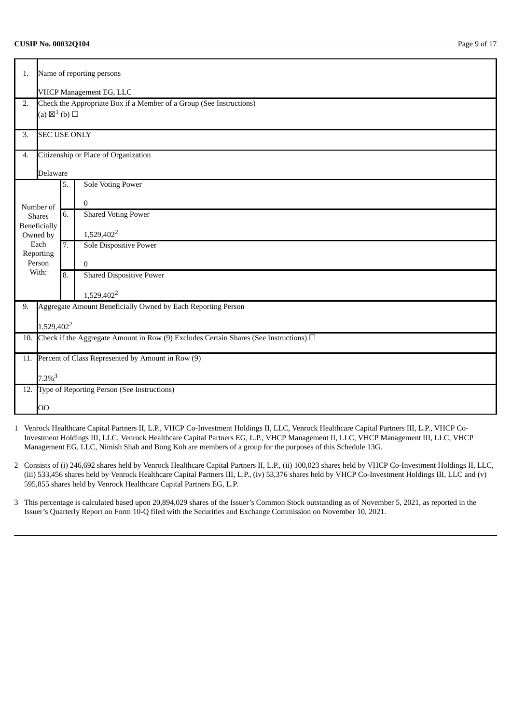### **CUSIP No. 00032Q104** Page 9 of 17

| 1.  | Name of reporting persons                                                                  |    |                                                                     |  |  |  |
|-----|--------------------------------------------------------------------------------------------|----|---------------------------------------------------------------------|--|--|--|
|     | <b>VHCP Management EG, LLC</b>                                                             |    |                                                                     |  |  |  |
| 2.  |                                                                                            |    | Check the Appropriate Box if a Member of a Group (See Instructions) |  |  |  |
|     | (a) $\boxtimes^1$ (b) $\square$                                                            |    |                                                                     |  |  |  |
| 3.  | <b>SEC USE ONLY</b>                                                                        |    |                                                                     |  |  |  |
| 4.  |                                                                                            |    | Citizenship or Place of Organization                                |  |  |  |
|     | Delaware                                                                                   |    |                                                                     |  |  |  |
|     |                                                                                            | 5. | <b>Sole Voting Power</b>                                            |  |  |  |
|     | Number of                                                                                  |    | $\mathbf{0}$                                                        |  |  |  |
|     | <b>Shares</b>                                                                              | 6. | <b>Shared Voting Power</b>                                          |  |  |  |
|     | Beneficially                                                                               |    |                                                                     |  |  |  |
|     | Owned by<br>Each                                                                           |    | 1,529,402 <sup>2</sup>                                              |  |  |  |
|     | Reporting                                                                                  | 7. | <b>Sole Dispositive Power</b>                                       |  |  |  |
|     | Person                                                                                     |    | $\bf{0}$                                                            |  |  |  |
|     | With:                                                                                      | 8. | <b>Shared Dispositive Power</b>                                     |  |  |  |
|     |                                                                                            |    | 1,529,402 <sup>2</sup>                                              |  |  |  |
| 9.  |                                                                                            |    | Aggregate Amount Beneficially Owned by Each Reporting Person        |  |  |  |
|     |                                                                                            |    |                                                                     |  |  |  |
|     | 1,529,402 <sup>2</sup>                                                                     |    |                                                                     |  |  |  |
| 10. | Check if the Aggregate Amount in Row (9) Excludes Certain Shares (See Instructions) $\Box$ |    |                                                                     |  |  |  |
| 11. | Percent of Class Represented by Amount in Row (9)                                          |    |                                                                     |  |  |  |
|     | $7.3\%$ <sup>3</sup>                                                                       |    |                                                                     |  |  |  |
| 12. |                                                                                            |    | Type of Reporting Person (See Instructions)                         |  |  |  |
|     | OO                                                                                         |    |                                                                     |  |  |  |

- 1 Venrock Healthcare Capital Partners II, L.P., VHCP Co-Investment Holdings II, LLC, Venrock Healthcare Capital Partners III, L.P., VHCP Co-Investment Holdings III, LLC, Venrock Healthcare Capital Partners EG, L.P., VHCP Management II, LLC, VHCP Management III, LLC, VHCP Management EG, LLC, Nimish Shah and Bong Koh are members of a group for the purposes of this Schedule 13G.
- 2 Consists of (i) 246,692 shares held by Venrock Healthcare Capital Partners II, L.P., (ii) 100,023 shares held by VHCP Co-Investment Holdings II, LLC, (iii) 533,456 shares held by Venrock Healthcare Capital Partners III, L.P., (iv) 53,376 shares held by VHCP Co-Investment Holdings III, LLC and (v) 595,855 shares held by Venrock Healthcare Capital Partners EG, L.P.
- 3 This percentage is calculated based upon 20,894,029 shares of the Issuer's Common Stock outstanding as of November 5, 2021, as reported in the Issuer's Quarterly Report on Form 10-Q filed with the Securities and Exchange Commission on November 10, 2021.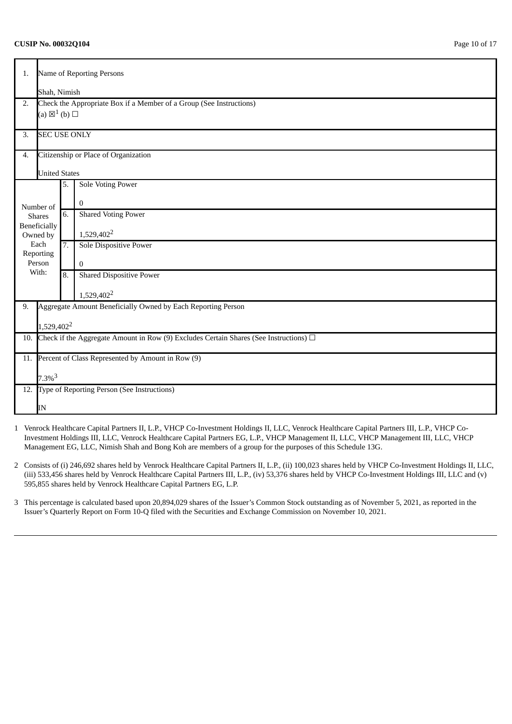### **CUSIP No. 00032Q104** Page 10 of 17

| 1.  |                                                                                            | Name of Reporting Persons |                                                                     |  |  |  |  |
|-----|--------------------------------------------------------------------------------------------|---------------------------|---------------------------------------------------------------------|--|--|--|--|
|     | Shah, Nimish                                                                               |                           |                                                                     |  |  |  |  |
| 2.  |                                                                                            |                           | Check the Appropriate Box if a Member of a Group (See Instructions) |  |  |  |  |
|     | (a) $\boxtimes^1$ (b) $\square$                                                            |                           |                                                                     |  |  |  |  |
|     |                                                                                            |                           |                                                                     |  |  |  |  |
| 3.  | <b>SEC USE ONLY</b>                                                                        |                           |                                                                     |  |  |  |  |
| 4.  |                                                                                            |                           | Citizenship or Place of Organization                                |  |  |  |  |
|     |                                                                                            | <b>United States</b>      |                                                                     |  |  |  |  |
|     |                                                                                            | 5.                        | <b>Sole Voting Power</b>                                            |  |  |  |  |
|     | Number of                                                                                  |                           | $\mathbf{0}$                                                        |  |  |  |  |
|     | <b>Shares</b>                                                                              | 6.                        | <b>Shared Voting Power</b>                                          |  |  |  |  |
|     | <b>Beneficially</b>                                                                        |                           |                                                                     |  |  |  |  |
|     | Owned by<br>Each                                                                           | 7.                        | 1,529,402 <sup>2</sup>                                              |  |  |  |  |
|     | Reporting                                                                                  |                           | Sole Dispositive Power                                              |  |  |  |  |
|     | Person                                                                                     |                           | $\mathbf{0}$                                                        |  |  |  |  |
|     | With:                                                                                      | 8.                        | <b>Shared Dispositive Power</b>                                     |  |  |  |  |
|     |                                                                                            |                           | 1,529,402 <sup>2</sup>                                              |  |  |  |  |
| 9.  |                                                                                            |                           | Aggregate Amount Beneficially Owned by Each Reporting Person        |  |  |  |  |
|     |                                                                                            |                           |                                                                     |  |  |  |  |
|     | 1,529,402 <sup>2</sup>                                                                     |                           |                                                                     |  |  |  |  |
| 10. | Check if the Aggregate Amount in Row (9) Excludes Certain Shares (See Instructions) $\Box$ |                           |                                                                     |  |  |  |  |
| 11. | Percent of Class Represented by Amount in Row (9)                                          |                           |                                                                     |  |  |  |  |
|     | $7.3\%$ <sup>3</sup>                                                                       |                           |                                                                     |  |  |  |  |
|     |                                                                                            |                           | 12. Type of Reporting Person (See Instructions)                     |  |  |  |  |
|     | IN                                                                                         |                           |                                                                     |  |  |  |  |

- 1 Venrock Healthcare Capital Partners II, L.P., VHCP Co-Investment Holdings II, LLC, Venrock Healthcare Capital Partners III, L.P., VHCP Co-Investment Holdings III, LLC, Venrock Healthcare Capital Partners EG, L.P., VHCP Management II, LLC, VHCP Management III, LLC, VHCP Management EG, LLC, Nimish Shah and Bong Koh are members of a group for the purposes of this Schedule 13G.
- 2 Consists of (i) 246,692 shares held by Venrock Healthcare Capital Partners II, L.P., (ii) 100,023 shares held by VHCP Co-Investment Holdings II, LLC, (iii) 533,456 shares held by Venrock Healthcare Capital Partners III, L.P., (iv) 53,376 shares held by VHCP Co-Investment Holdings III, LLC and (v) 595,855 shares held by Venrock Healthcare Capital Partners EG, L.P.
- 3 This percentage is calculated based upon 20,894,029 shares of the Issuer's Common Stock outstanding as of November 5, 2021, as reported in the Issuer's Quarterly Report on Form 10-Q filed with the Securities and Exchange Commission on November 10, 2021.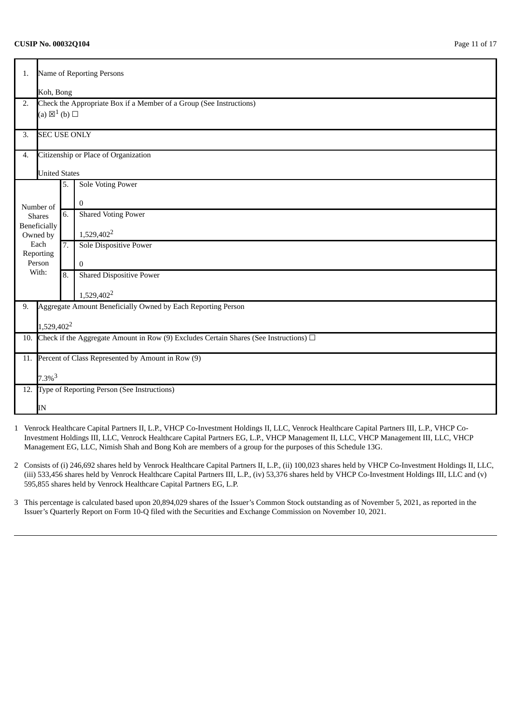### **CUSIP No. 00032Q104** Page 11 of 17

| 1.  |                                                                                            | Name of Reporting Persons |                                                                     |  |  |  |
|-----|--------------------------------------------------------------------------------------------|---------------------------|---------------------------------------------------------------------|--|--|--|
|     | Koh, Bong                                                                                  |                           |                                                                     |  |  |  |
| 2.  |                                                                                            |                           | Check the Appropriate Box if a Member of a Group (See Instructions) |  |  |  |
|     | (a) $\boxtimes^1$ (b) $\square$                                                            |                           |                                                                     |  |  |  |
|     | <b>SEC USE ONLY</b>                                                                        |                           |                                                                     |  |  |  |
| 3.  |                                                                                            |                           |                                                                     |  |  |  |
| 4.  |                                                                                            |                           | Citizenship or Place of Organization                                |  |  |  |
|     | <b>United States</b>                                                                       |                           |                                                                     |  |  |  |
|     |                                                                                            | 5.                        | <b>Sole Voting Power</b>                                            |  |  |  |
|     | Number of                                                                                  |                           | $\mathbf{0}$                                                        |  |  |  |
|     | <b>Shares</b>                                                                              | 6.                        | <b>Shared Voting Power</b>                                          |  |  |  |
|     | <b>Beneficially</b>                                                                        |                           |                                                                     |  |  |  |
|     | Owned by<br>Each                                                                           |                           | 1,529,402 <sup>2</sup>                                              |  |  |  |
|     | Reporting                                                                                  | 7.                        | Sole Dispositive Power                                              |  |  |  |
|     | Person                                                                                     |                           | $\bf{0}$                                                            |  |  |  |
|     | With:                                                                                      | 8.                        | <b>Shared Dispositive Power</b>                                     |  |  |  |
|     |                                                                                            |                           | 1,529,402 <sup>2</sup>                                              |  |  |  |
| 9.  |                                                                                            |                           | Aggregate Amount Beneficially Owned by Each Reporting Person        |  |  |  |
|     |                                                                                            |                           |                                                                     |  |  |  |
|     | 1,529,402 <sup>2</sup>                                                                     |                           |                                                                     |  |  |  |
| 10. | Check if the Aggregate Amount in Row (9) Excludes Certain Shares (See Instructions) $\Box$ |                           |                                                                     |  |  |  |
| 11. | Percent of Class Represented by Amount in Row (9)                                          |                           |                                                                     |  |  |  |
|     | $7.3\%$ <sup>3</sup>                                                                       |                           |                                                                     |  |  |  |
|     |                                                                                            |                           | 12. Type of Reporting Person (See Instructions)                     |  |  |  |
|     |                                                                                            |                           |                                                                     |  |  |  |
|     | IN                                                                                         |                           |                                                                     |  |  |  |

- 1 Venrock Healthcare Capital Partners II, L.P., VHCP Co-Investment Holdings II, LLC, Venrock Healthcare Capital Partners III, L.P., VHCP Co-Investment Holdings III, LLC, Venrock Healthcare Capital Partners EG, L.P., VHCP Management II, LLC, VHCP Management III, LLC, VHCP Management EG, LLC, Nimish Shah and Bong Koh are members of a group for the purposes of this Schedule 13G.
- 2 Consists of (i) 246,692 shares held by Venrock Healthcare Capital Partners II, L.P., (ii) 100,023 shares held by VHCP Co-Investment Holdings II, LLC, (iii) 533,456 shares held by Venrock Healthcare Capital Partners III, L.P., (iv) 53,376 shares held by VHCP Co-Investment Holdings III, LLC and (v) 595,855 shares held by Venrock Healthcare Capital Partners EG, L.P.
- 3 This percentage is calculated based upon 20,894,029 shares of the Issuer's Common Stock outstanding as of November 5, 2021, as reported in the Issuer's Quarterly Report on Form 10-Q filed with the Securities and Exchange Commission on November 10, 2021.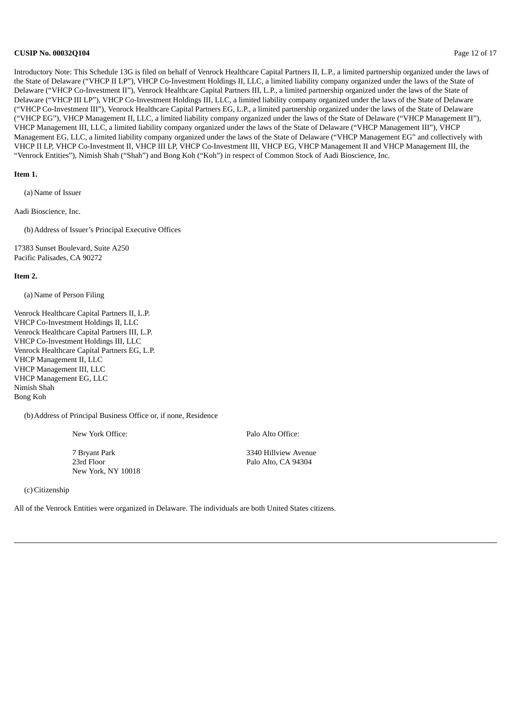### **CUSIP No. 00032Q104** Page 12 of 17

Introductory Note: This Schedule 13G is filed on behalf of Venrock Healthcare Capital Partners II, L.P., a limited partnership organized under the laws of the State of Delaware ("VHCP II LP"), VHCP Co-Investment Holdings II, LLC, a limited liability company organized under the laws of the State of Delaware ("VHCP Co-Investment II"), Venrock Healthcare Capital Partners III, L.P., a limited partnership organized under the laws of the State of Delaware ("VHCP III LP"), VHCP Co-Investment Holdings III, LLC, a limited liability company organized under the laws of the State of Delaware ("VHCP Co-Investment III"), Venrock Healthcare Capital Partners EG, L.P., a limited partnership organized under the laws of the State of Delaware ("VHCP EG"), VHCP Management II, LLC, a limited liability company organized under the laws of the State of Delaware ("VHCP Management II"), VHCP Management III, LLC, a limited liability company organized under the laws of the State of Delaware ("VHCP Management III"), VHCP Management EG, LLC, a limited liability company organized under the laws of the State of Delaware ("VHCP Management EG" and collectively with VHCP II LP, VHCP Co-Investment II, VHCP III LP, VHCP Co-Investment III, VHCP EG, VHCP Management II and VHCP Management III, the "Venrock Entities"), Nimish Shah ("Shah") and Bong Koh ("Koh") in respect of Common Stock of Aadi Bioscience, Inc.

### **Item 1.**

(a) Name of Issuer

Aadi Bioscience, Inc.

(b)Address of Issuer's Principal Executive Offices

17383 Sunset Boulevard, Suite A250 Pacific Palisades, CA 90272

### **Item 2.**

(a) Name of Person Filing

Venrock Healthcare Capital Partners II, L.P. VHCP Co-Investment Holdings II, LLC Venrock Healthcare Capital Partners III, L.P. VHCP Co-Investment Holdings III, LLC Venrock Healthcare Capital Partners EG, L.P. VHCP Management II, LLC VHCP Management III, LLC VHCP Management EG, LLC Nimish Shah Bong Koh

(b)Address of Principal Business Office or, if none, Residence

New York Office: Palo Alto Office:

7 Bryant Park 3340 Hillview Avenue New York, NY 10018

23rd Floor Palo Alto, CA 94304

(c)Citizenship

All of the Venrock Entities were organized in Delaware. The individuals are both United States citizens.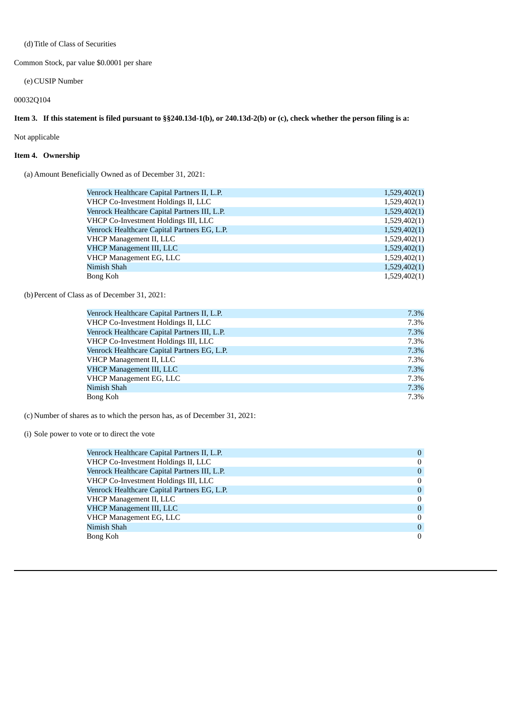### (d)Title of Class of Securities

Common Stock, par value \$0.0001 per share

(e)CUSIP Number

### 00032Q104

### Item 3. If this statement is filed pursuant to §§240.13d-1(b), or 240.13d-2(b) or (c), check whether the person filing is a:

Not applicable

### **Item 4. Ownership**

(a) Amount Beneficially Owned as of December 31, 2021:

| 1,529,402(1) |
|--------------|
| 1,529,402(1) |
| 1,529,402(1) |
| 1,529,402(1) |
| 1,529,402(1) |
| 1,529,402(1) |
| 1,529,402(1) |
| 1,529,402(1) |
| 1,529,402(1) |
| 1,529,402(1) |
|              |

(b)Percent of Class as of December 31, 2021:

| Venrock Healthcare Capital Partners II, L.P.  | 7.3% |
|-----------------------------------------------|------|
| VHCP Co-Investment Holdings II, LLC           | 7.3% |
| Venrock Healthcare Capital Partners III, L.P. | 7.3% |
| VHCP Co-Investment Holdings III, LLC          | 7.3% |
| Venrock Healthcare Capital Partners EG, L.P.  | 7.3% |
| VHCP Management II, LLC                       | 7.3% |
| VHCP Management III, LLC                      | 7.3% |
| VHCP Management EG, LLC                       | 7.3% |
| Nimish Shah                                   | 7.3% |
| Bong Koh                                      | 7.3% |

(c) Number of shares as to which the person has, as of December 31, 2021:

### (i) Sole power to vote or to direct the vote

| Venrock Healthcare Capital Partners II, L.P.  | 0        |
|-----------------------------------------------|----------|
| VHCP Co-Investment Holdings II, LLC           | 0        |
| Venrock Healthcare Capital Partners III, L.P. | 0        |
| VHCP Co-Investment Holdings III, LLC          | $\Omega$ |
| Venrock Healthcare Capital Partners EG, L.P.  | $\Omega$ |
| VHCP Management II, LLC                       | $\Omega$ |
| VHCP Management III, LLC                      | $\Omega$ |
| VHCP Management EG, LLC                       | $\Omega$ |
| Nimish Shah                                   | $\Omega$ |
| Bong Koh                                      | 0        |
|                                               |          |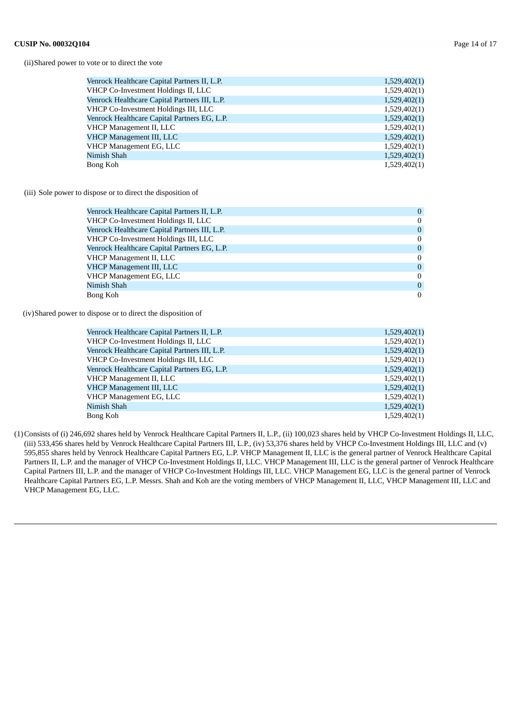(ii)Shared power to vote or to direct the vote

| Venrock Healthcare Capital Partners II, L.P.  | 1,529,402(1) |
|-----------------------------------------------|--------------|
| VHCP Co-Investment Holdings II, LLC           | 1,529,402(1) |
| Venrock Healthcare Capital Partners III, L.P. | 1,529,402(1) |
| VHCP Co-Investment Holdings III, LLC          | 1,529,402(1) |
| Venrock Healthcare Capital Partners EG, L.P.  | 1,529,402(1) |
| VHCP Management II, LLC                       | 1,529,402(1) |
| VHCP Management III, LLC                      | 1,529,402(1) |
| VHCP Management EG, LLC                       | 1,529,402(1) |
| Nimish Shah                                   | 1,529,402(1) |
| Bong Koh                                      | 1,529,402(1) |
|                                               |              |

(iii) Sole power to dispose or to direct the disposition of

| Venrock Healthcare Capital Partners II, L.P.  | $\theta$       |
|-----------------------------------------------|----------------|
| VHCP Co-Investment Holdings II, LLC           | $\Omega$       |
| Venrock Healthcare Capital Partners III, L.P. | $\overline{0}$ |
| VHCP Co-Investment Holdings III, LLC          | $\theta$       |
| Venrock Healthcare Capital Partners EG, L.P.  | $\overline{0}$ |
| VHCP Management II, LLC                       | $\Omega$       |
| <b>VHCP Management III, LLC</b>               | $\overline{0}$ |
| VHCP Management EG, LLC                       | $\theta$       |
| Nimish Shah                                   | $\theta$       |
| Bong Koh                                      | $\Omega$       |

(iv)Shared power to dispose or to direct the disposition of

| Venrock Healthcare Capital Partners II, L.P.  | 1,529,402(1) |
|-----------------------------------------------|--------------|
| VHCP Co-Investment Holdings II, LLC           | 1,529,402(1) |
| Venrock Healthcare Capital Partners III, L.P. | 1,529,402(1) |
| VHCP Co-Investment Holdings III, LLC          | 1,529,402(1) |
| Venrock Healthcare Capital Partners EG, L.P.  | 1,529,402(1) |
| VHCP Management II, LLC                       | 1,529,402(1) |
| VHCP Management III, LLC                      | 1,529,402(1) |
| VHCP Management EG, LLC                       | 1,529,402(1) |
| Nimish Shah                                   | 1,529,402(1) |
| Bong Koh                                      | 1,529,402(1) |

(1)Consists of (i) 246,692 shares held by Venrock Healthcare Capital Partners II, L.P., (ii) 100,023 shares held by VHCP Co-Investment Holdings II, LLC, (iii) 533,456 shares held by Venrock Healthcare Capital Partners III, L.P., (iv) 53,376 shares held by VHCP Co-Investment Holdings III, LLC and (v) 595,855 shares held by Venrock Healthcare Capital Partners EG, L.P. VHCP Management II, LLC is the general partner of Venrock Healthcare Capital Partners II, L.P. and the manager of VHCP Co-Investment Holdings II, LLC. VHCP Management III, LLC is the general partner of Venrock Healthcare Capital Partners III, L.P. and the manager of VHCP Co-Investment Holdings III, LLC. VHCP Management EG, LLC is the general partner of Venrock Healthcare Capital Partners EG, L.P. Messrs. Shah and Koh are the voting members of VHCP Management II, LLC, VHCP Management III, LLC and VHCP Management EG, LLC.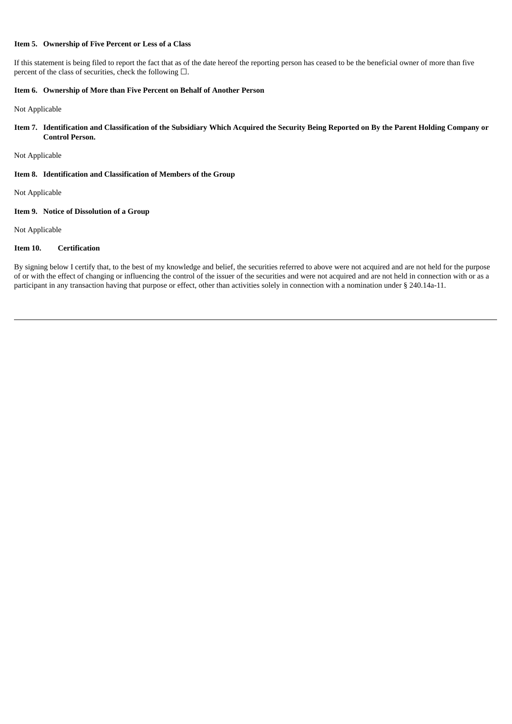### **Item 5. Ownership of Five Percent or Less of a Class**

If this statement is being filed to report the fact that as of the date hereof the reporting person has ceased to be the beneficial owner of more than five percent of the class of securities, check the following  $\Box$ .

### **Item 6. Ownership of More than Five Percent on Behalf of Another Person**

Not Applicable

Item 7. Identification and Classification of the Subsidiary Which Acquired the Security Being Reported on By the Parent Holding Company or **Control Person.**

Not Applicable

### **Item 8. Identification and Classification of Members of the Group**

Not Applicable

### **Item 9. Notice of Dissolution of a Group**

Not Applicable

### **Item 10. Certification**

By signing below I certify that, to the best of my knowledge and belief, the securities referred to above were not acquired and are not held for the purpose of or with the effect of changing or influencing the control of the issuer of the securities and were not acquired and are not held in connection with or as a participant in any transaction having that purpose or effect, other than activities solely in connection with a nomination under § 240.14a-11.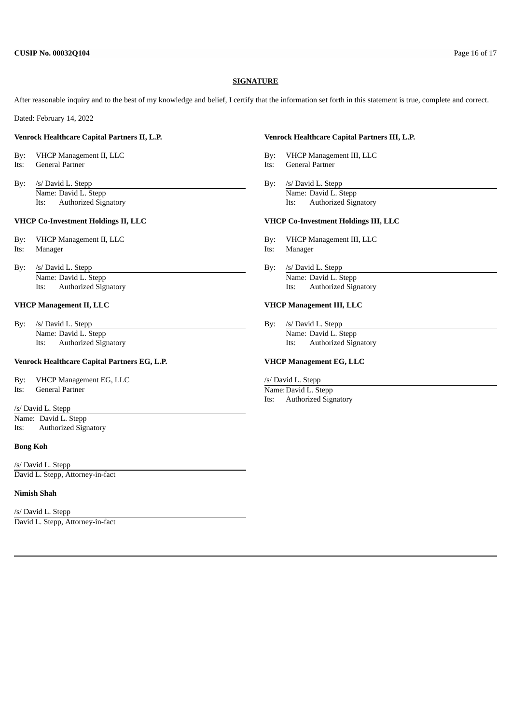### **SIGNATURE**

After reasonable inquiry and to the best of my knowledge and belief, I certify that the information set forth in this statement is true, complete and correct.

Dated: February 14, 2022

### **Venrock Healthcare Capital Partners II, L.P. Venrock Healthcare Capital Partners III, L.P.**

- 
- 
- By: /s/ David L. Stepp By: /s/ David L. Stepp By: /s/ David L. Stepp By: /s/ David L. Stepp Name: David L. Stepp Name: David L. Stepp

### **VHCP Co-Investment Holdings II, LLC VHCP Co-Investment Holdings III, LLC**

- By: VHCP Management II, LLC By: VHCP Management III, LLC Its: Manager Its: Manager
- By: /s/ David L. Stepp By: /s/ David L. Stepp By: /s/ David L. Stepp By: /s/ David L. Stepp By: /s/ David L. Stepp By: /s/ David L. Stepp By: /s/ David L. Stepp By: /s/ David L. Stepp By: /s/ David L. Stepp By: /s/ David L Name: David L. Stepp Name: David L. Stepp Name: David L. Stepp Name: David L. Stepp Name: David L. Stepp Name: David L. Stepp Name: David L. Stepp Name: David L. Stepp Name: David L. Stepp Name: David L. Stepp Name: David

By: /s/ David L. Stepp By: /s/ David L. Stepp By: /s/ David L. Stepp By: /s/ David L. Stepp Name: David L. Stepp Name: David L. Stepp Its: Authorized Signatory Its: Authorized Signatory

### **Venrock Healthcare Capital Partners EG, L.P. VHCP Management EG, LLC**

By: VHCP Management EG, LLC /s/ David L. Stepp<br>
Its: General Partner /s/ David L. Stepp<br>
Name: David L. St Its: General Partner Name: David L. Stepp

/s/ David L. Stepp Name: David L. Stepp Its: Authorized Signatory

### **Bong Koh**

/s/ David L. Stepp David L. Stepp, Attorney-in-fact

### **Nimish Shah**

/s/ David L. Stepp David L. Stepp, Attorney-in-fact

By: VHCP Management II, LLC By: VHCP Management III, LLC

- Its: General Partner Its: General Partner
	- Its: Authorized Signatory Its: Authorized Signatory

- 
- 
- Its: Authorized Signatory Its: Authorized Signatory

### **VHCP Management II, LLC VHCP Management III, LLC**

Its: Authorized Signatory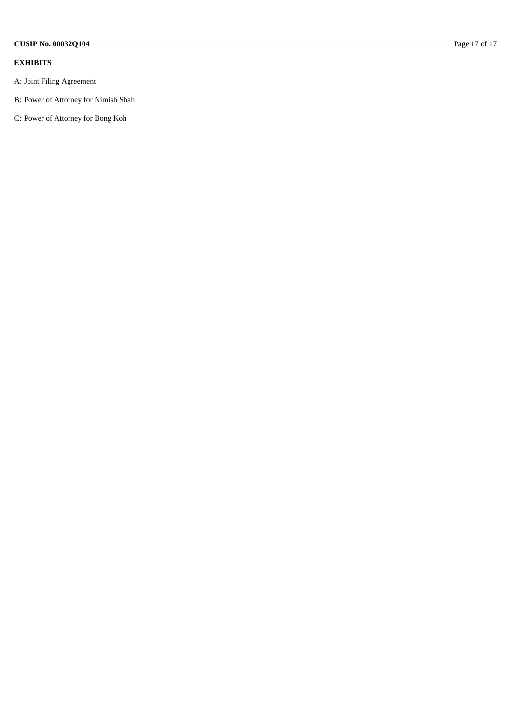### **E X H I B I T S**

- A: Joint Filing Agreement
- B: Power of Attorney for Nimish Shah
- C: Power of Attorney for Bong Koh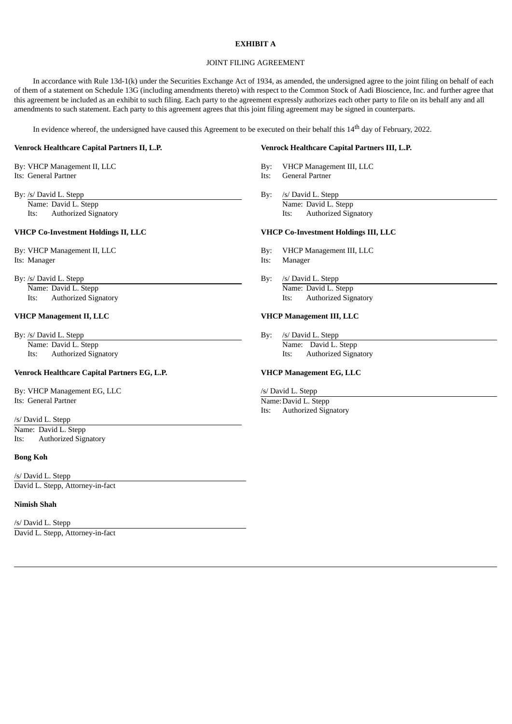### **EXHIBIT A**

### JOINT FILING AGREEMENT

In accordance with Rule 13d-1(k) under the Securities Exchange Act of 1934, as amended, the undersigned agree to the joint filing on behalf of each of them of a statement on Schedule 13G (including amendments thereto) with respect to the Common Stock of Aadi Bioscience, Inc. and further agree that this agreement be included as an exhibit to such filing. Each party to the agreement expressly authorizes each other party to file on its behalf any and all amendments to such statement. Each party to this agreement agrees that this joint filing agreement may be signed in counterparts.

In evidence whereof, the undersigned have caused this Agreement to be executed on their behalf this  $14^{\rm th}$  day of February, 2022.

By: /s/ David L. Stepp By: /s/ David L. Stepp By: /s/ David L. Stepp

Its: Authorized Signatory Its:

Its: Manager Its: Manager

### **VHCP Management II, LLC VHCP Management III, LLC**

By: /s/ David L. Stepp By: /s/ David L. Stepp By: /s/ David L. Stepp By: /s/ David L. Stepp By: /s/ David L. Stepp By: /s/ David L. Stepp By: /s/ David L. Stepp By: /s/ David L. Stepp By: /s/ David L. Stepp By: /s/ David L

### **Venrock Healthcare Capital Partners EG, L.P. VHCP Management EG, LLC**

By: VHCP Management EG, LLC /s/ David L. Stepp **Its:** General Partner Name: David L. Stepp

/s/ David L. Stepp Name: David L. Stepp Its: Authorized Signatory

### **Bong Koh**

/s/ David L. Stepp David L. Stepp, Attorney-in-fact

### **Nimish Shah**

/s/ David L. Stepp David L. Stepp, Attorney-in-fact

### **Venrock Healthcare Capital Partners II, L.P. Venrock Healthcare Capital Partners III, L.P.**

- By: VHCP Management II, LLC By: VHCP Management III, LLC
- Its: General Partner **Its: General Partner** Its: General Partner
	- Name: David L. Stepp Name: David L. Stepp Name: David L. Stepp Name: David L. Stepp Name: David L. Stepp Name: David L. Stepp Name: David L. Stepp Name: David L. Stepp Name: David L. Stepp Name: David L. Stepp Name: David

### **VHCP Co-Investment Holdings II, LLC VHCP Co-Investment Holdings III, LLC**

By: VHCP Management II, LLC By: VHCP Management III, LLC

- 
- By: /s/ David L. Stepp By: /s/ David L. Stepp By: /s/ David L. Stepp By: /s/ David L. Stepp By: /s/ David L. Stepp By: /s/ David L. Stepp By: /s/ David L. Stepp  $\mathbb{R}$ Name: David L. Stepp Name: David L. Stepp Name: David L. Stepp Name: David L. Stepp Name: David L. Stepp Name: David L. Stepp Name: David L. Stepp Name: David L. Stepp Name: David L. Stepp Name: David L. Stepp Name: David Its: Authorized Signatory Its: Authorized Signatory

Name: David L. Stepp Name: David L. Stepp Name: David L. Stepp Its: Authorized Signatory Its: Authorized Signatory

Its: Authorized Signatory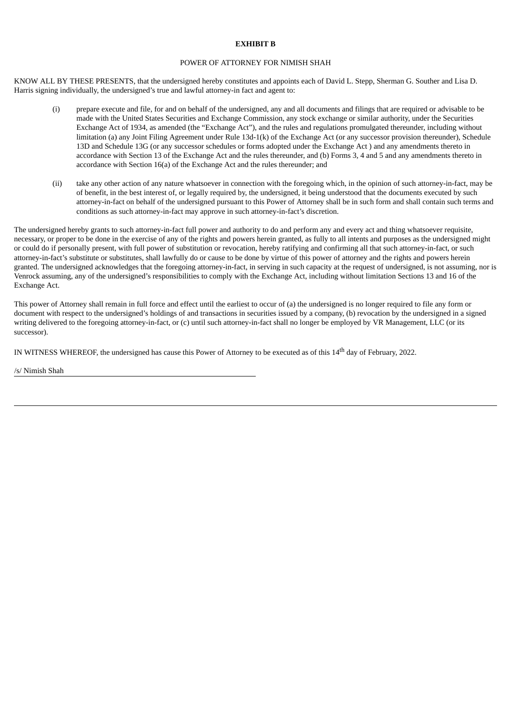### **EXHIBIT B**

### POWER OF ATTORNEY FOR NIMISH SHAH

KNOW ALL BY THESE PRESENTS, that the undersigned hereby constitutes and appoints each of David L. Stepp, Sherman G. Souther and Lisa D. Harris signing individually, the undersigned's true and lawful attorney-in fact and agent to:

- (i) prepare execute and file, for and on behalf of the undersigned, any and all documents and filings that are required or advisable to be made with the United States Securities and Exchange Commission, any stock exchange or similar authority, under the Securities Exchange Act of 1934, as amended (the "Exchange Act"), and the rules and regulations promulgated thereunder, including without limitation (a) any Joint Filing Agreement under Rule 13d-1(k) of the Exchange Act (or any successor provision thereunder), Schedule 13D and Schedule 13G (or any successor schedules or forms adopted under the Exchange Act ) and any amendments thereto in accordance with Section 13 of the Exchange Act and the rules thereunder, and (b) Forms 3, 4 and 5 and any amendments thereto in accordance with Section 16(a) of the Exchange Act and the rules thereunder; and
- (ii) take any other action of any nature whatsoever in connection with the foregoing which, in the opinion of such attorney-in-fact, may be of benefit, in the best interest of, or legally required by, the undersigned, it being understood that the documents executed by such attorney-in-fact on behalf of the undersigned pursuant to this Power of Attorney shall be in such form and shall contain such terms and conditions as such attorney-in-fact may approve in such attorney-in-fact's discretion.

The undersigned hereby grants to such attorney-in-fact full power and authority to do and perform any and every act and thing whatsoever requisite, necessary, or proper to be done in the exercise of any of the rights and powers herein granted, as fully to all intents and purposes as the undersigned might or could do if personally present, with full power of substitution or revocation, hereby ratifying and confirming all that such attorney-in-fact, or such attorney-in-fact's substitute or substitutes, shall lawfully do or cause to be done by virtue of this power of attorney and the rights and powers herein granted. The undersigned acknowledges that the foregoing attorney-in-fact, in serving in such capacity at the request of undersigned, is not assuming, nor is Venrock assuming, any of the undersigned's responsibilities to comply with the Exchange Act, including without limitation Sections 13 and 16 of the Exchange Act.

This power of Attorney shall remain in full force and effect until the earliest to occur of (a) the undersigned is no longer required to file any form or document with respect to the undersigned's holdings of and transactions in securities issued by a company, (b) revocation by the undersigned in a signed writing delivered to the foregoing attorney-in-fact, or (c) until such attorney-in-fact shall no longer be employed by VR Management, LLC (or its successor).

IN WITNESS WHEREOF, the undersigned has cause this Power of Attorney to be executed as of this 14<sup>th</sup> day of February, 2022.

/s/ Nimish Shah